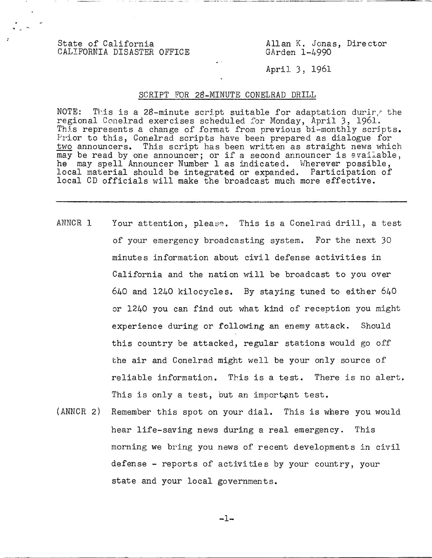State of California<br>CALIFORNIA DISASTER OFFICE GArden 1-4990 CALIFORNIA DISASTER OFFICE

Apri]. 3, 1961

## SCRIPT FOR 28-MINUTE CONELRAD DRILL

NOTE: This is a 28-minute script suitable for adaptation during the regional Conelrad exercises scheduled for Monday, April 3, 1961. This represents a change of format from previous bi-monthly scripts. Prior to this, Conelrad scripts have been prepared as dialogue for two announcers. This script has been written as straight news which may be read by one announcer; or if a second announcer is available, he may spell Announcer Number 1 as indicated. Wherever possible, local material should be integrated or expanded. Participation of local CD officials will make the broadcast much more effective.

- ANNCR 1 Your attention, please. This is a Conelrad drill, a test of your emergency broadcasting system. For the next 30 minutes information about civil defense activities in California and the nation will be broadcast to you over 640 and 1240 kilocycles. By staying tuned to either 640 or 1240 you can find out what kind of reception you might experience during or following an enemy attack. Should this country be attacked, regular stations would go off the air and Conelrad might well be your only source of reliable information. This is a test. There is no alert. This is only a test, but an important test.
- (ANNCR 2) Remember this spot on your dial. This is where you would hear life-saving news during a real emergency. This morning we bring you news of recent developments in civil defense - reports of activities by your country, your state and your local governments.

 $-1-$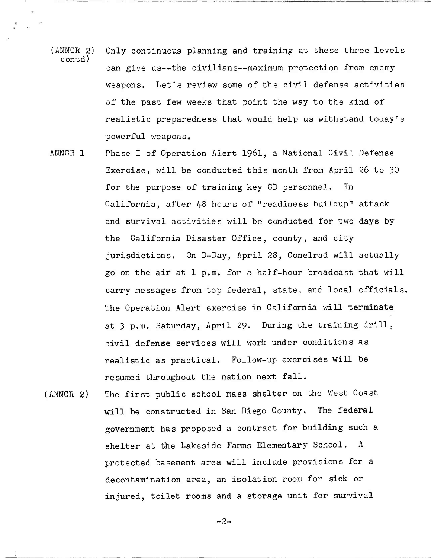- (ANNCR 2) Only continuous planning and training at these three levels contd) can give us--the civilians--maximum protection from enemy weapons. Let's review some of the civil defense activities of the past few weeks that point the way to the kind of realistic preparedness that would help us withstand today's powerful weapons.
- ANNCR 1 Phase I of Operation Alert 1961, a National Civil Defense Exercise, will be conducted this month from April 26 to 30 for the purpose of training key CD personnel. In California, after 48 hours of "readiness buildup" attack and survival activities will be conducted for two days by the California Disaster Office, county, and city jurisdictions. On D-Day, April 28, Conelrad will actually go on the air at 1 p.m. for a half-hour broadcast that will carry messages from top federal, state, and local officials. The Operation Alert exercise in California will terminate at 3 p.m. Saturday, April 29. During the training drill, civil defense services will work under conditions as realistic as practical. Follow-up exercises will be resumed throughout the nation next fall.
- (ANNCR 2) The first public school mass shelter on the West Coast will be constructed in San Diego County. The federal government has proposed a contract for building such a shelter at the Lakeside Farms Elementary School. A protected basement area will include provisions for a decontamination area, an isolation room for sick or injured, toilet rooms and a storage unit for survival

$$
-2-
$$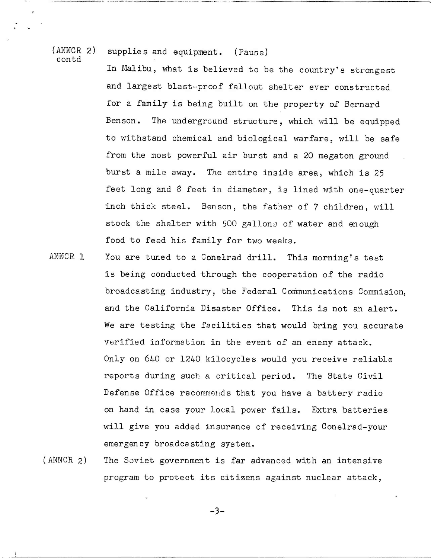contd

## (ANNCR 2) supplies and equipment. (Pause)

In Malibu, what is believed to be the country's strongest and largest blast-proof fallout shelter ever constructed for a family is being built on the property of Bernard Benson. The underground structure, which will be equipped to withstand chemical and biological warfare, will be safe from the most powerful air burst and a 20 megaton ground burst a mile away. The entire inside area, which is 25 feet long and 8 feet in diameter, is lined with one-quarter inch thick steel. Benson, the father of 7 children, will stock the shelter with 500 gallons of water and enough food to feed his family for two weeks.

- ANNCR 1 You are tuned to a Conelrad drill. This morning's test is being conducted through the cooperation of the radio broadcasting industry, the Federal Communications Commision, and the California Disaster Office. This is not an alert. We are testing the facilities that would bring you accurate verified information in the event of an enemy attack. Only on 640 or 1240 kilocycles would you receive reliable reports during such a critical period. The State Civil Defense Office recommends that you have a battery radio on hand in case your local power fails. Extra batteries will give you added insurance of receiving Conelrad-your emergency broadcasting system.
- (ANNCR 2) The Soviet government is far advanced with an intensive program to protect its citizens against nuclear attack,

 $-3-$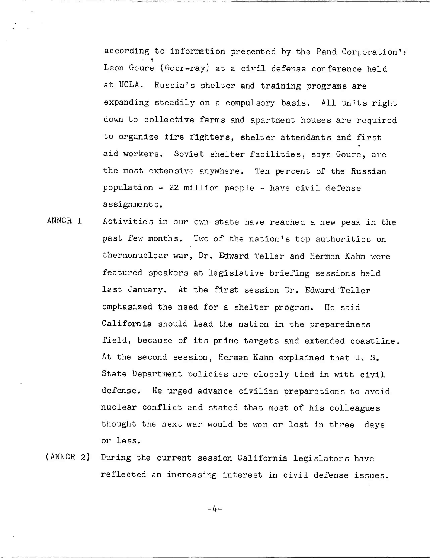according to information presented by the Rand Corporation'; Leon Goure (Goor-ray) at a civil defense conference held at UCLA. Russia's shelter and training programs are expanding steadily on a compulsory basis. All units right down to collective farms and apartment houses are required to organize fire fighters, shelter attendants and first aid workers. Soviet shelter facilities, says Goure, are the most extensive anywhere. Ten percent of the Russian population - 22 million people - have civil defense assignments.

- ANNCR 1 Activities in our own state have reached a new peak in the past few months. Two of the nation's top authorities on thermonuclear war, Dr. Edward Teller and Herman Kahn were featured speakers at legislative briefing sessions held last January. At the first session Dr. Edward Teller emphasized the need for a shelter program. He said California should lead the nation in the preparedness field, because of its prime targets and extended coastline. At the second session, Herman Kahn explained that U. S. State Department policies are closely tied in with civil defense. He urged advance civilian preparations to avoid nuclear conflict and stated that most of his colleagues thought the next war would be won or lost in three days or less.
- (ANNCR 2) During the current session California legislators have reflected an increasing interest in civil defense issues.

 $-l_{+}$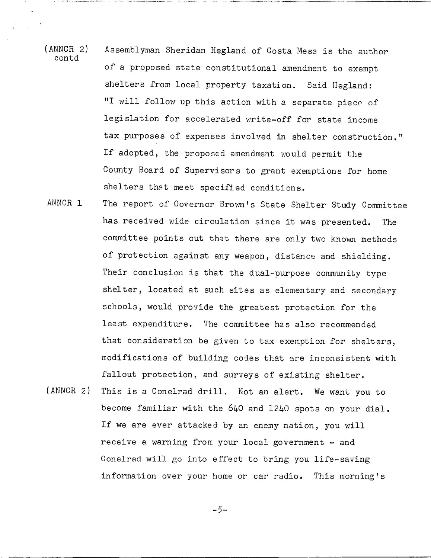- (ANNCR 2) Assemblyman Sheridan Hegland of Costa Mesa is the author contd of a proposed state constitutional amendment to exempt shelters from local property taxation. Said Hegland: "I will follow up this action with a separate piece of legislation for accelerated write-off for state income tax purposes of expenses involved in shelter construction." If adopted, the proposed amendment would permit the County Board of Supervisors to grant exemptions for home shelters that meet specified conditions.
- ANNCR 1 The report of Governor Brown's State Shelter Study Committee has received wide circulation since it was presented. The committee points out that there are only two known methods of protection against any weapon, distance and shielding. Their conclusion is that the dual-purpose community type shelter, located at such sites as elementary and secondary schools, would provide the greatest protection for the least expenditure. The committee has also recommended that consideration be given to tax exemption for shelters, modifications of building codes that are inconsistent with fallout protection, and surveys of existing shelter.
- (ANNCR 2) This is a Conelrad drill. Not an alert. We want you to become familiar with the 640 and 1240 spots on your dial. If we are ever attacked by an enemy nation, you will receive a warning from your local government  $-$  and Conelrad will go into effect to bring you life-saving information over your home or car radio. This morning's

 $-5-$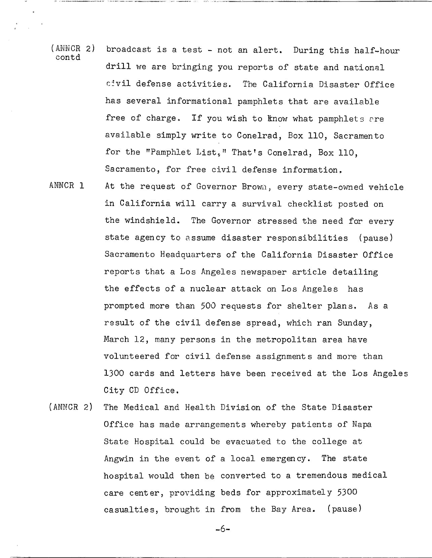- (ANNCR 2) broadcast is a test not an alert. During this half-hour contd drill we are bringing you reports of state and national civil defense activities. The California Disaster Office has several informational pamphlets that are available free of charge. If you wish to know what pamphlets are available simply write to Conelrad, Box 110, Sacramento for the "Pamphlet List," That's Conelrad, Box 110, Sacramento, for free civil defense information.
- ANNCR 1 At the request of Governor Brown, every state-owned vehicle in California will carry a survival checklist posted on the windshield. The Governor stressed the need for every state agency to assume disaster responsibilities (pause) Sacramento Headquarters of the California Disaster Office reports that a Los Angeles newspaper article detailing the effects of a nuclear attack on Los Angeles has prompted more than 500 requests for shelter plans. As a result of the civil defense spread, which ran Sunday, March 12, many persons in the metropolitan area have volunteered for civil defense assignments and more than 1300 cards and letters have been received at the Los Angeles City CD Office.
- (ANNCR 2) The Medical and Health Division of the State Disaster Office has made arrangements whereby patients of Napa State Hospital could be evacuated to the college at Angwin in the event of a local emergency. The state hospital would then be converted to a tremendous medical care center, providing beds for approximately 5300 casualties, brought in from the Bay Area. (pause)

-6-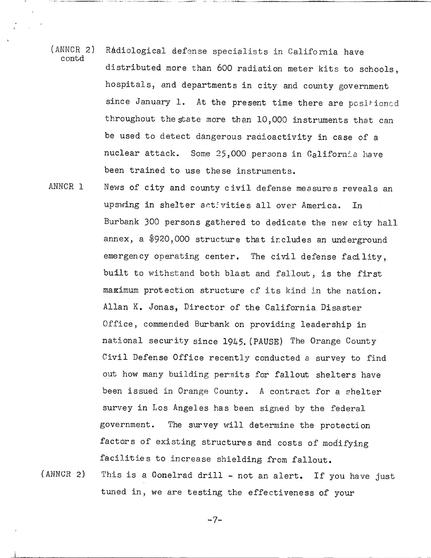- (ANNCR 2) Radiological defense specialists in California have contd distributed more than 600 radiation meter kits to schools, hospitals, and departments in city and county government since January 1. At the present time there are positioned throughout the state more than 10,000 instruments that can be used to detect dangerous radioactivity in case of a nuclear attack. Some 25,000 persons in California have been trained to use these instruments.
- ANNCR 1 News of city and county civil defense measures reveals an upswing in shelter activities all over America. In Burbank 300 persons gathered to dedicate the new city hall annex, a \$920,000 structure that includes an underground emergency operating center. The civil defense facility, built to withstand both blast and fallout, is the first maximum protection structure cf its kind in the nation. Allan K. Jonas, Director of the California Disaster Office, commended Burbank on providing leadership in national security since 1945. (PAUSE) The Orange County Civil Defense Office recently conducted a survey to find out how many building permits for fallout shelters have been issued in Orange County. A contract for a shelter survey in Los Angeles has been signed by the federal government. The survey will determine the protection factors of existing structures and costs of modifying facilities to increase shielding from fallout.
- (ANNCR 2) This is a Conelrad drill not an alert. If you have just tuned in, we are testing the effectiveness of your

$$
-7-
$$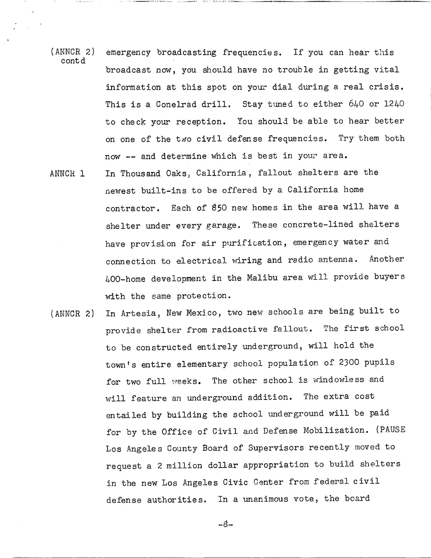- (ANNCR 2) emergency broadcasting frequencies. If you can hear this c ont d broadcast now, you should have no trouble in getting vital information at this spot on your dial during a real crisis. This is a Conelrad drill. Stay tuned to either 640 or 1240 to check your reception. You should be able to hear better on one of the two civil defense frequencies. Try them both now -- and determine which is best in your area.
- ANNCR 1 In Thousand Oaks, California, fallout shelters are the newest built-ins to be offered by a California home contractor. Each of \$50 new homes in the area will have <sup>a</sup> shelter under every garage. These concrete-lined shelters have provision for air purification, emergency water and connection to electrical wiring and radio antenna. Another 400 -home development in the Malibu area will provide buyers with the same protection.
- (ANNCR 2) In Artesia, New Mexico, two new schools are being built to provide shelter from radioactive fallout. The first school to be constructed entirely underground, will hold the town's entire elementary school population of 2300 pupils for two full weeks. The other school is windowless and will feature an underground addition. The extra cost entailed by building the school underground will be paid for by the Office of Civil and Defense Mobilization. (PAUSE Los Angeles County Board of Supervisors recently moved to request a 2 million dollar appropriation to build shelters in the new Los Angeles Civic Center from federal civil defense authorities. In a unanimous vote, the board

 $-8-$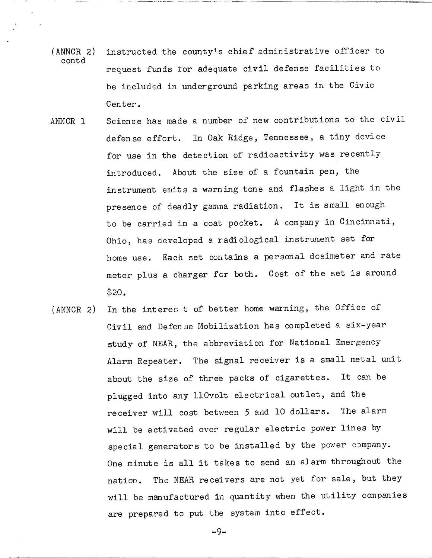- (ANNCR 2) instructed the county's chief administrative officer to c ont d request funds for adequate civil defense facilities to be included in underground parking areas in the Civic Center.
- ANNCR 1 Science has made a number of new contributions to the civil defense effort. In Oak Ridge, Tennessee, a tiny device for use in the detection of radioactivity was recently introduced. About the size of a fountain pen, the instrument emits a warning tone and flashes a light in the presence of deadly gamma radiation. It is small enough to be carried in a coat pocket. A company in Cincinnati, Ohio, has developed a radiological instrument set for home use. Each set contains a personal dosimeter and rate meter plus a charger for both. Cost of the set is around 520.
- (ANNCR 2) In the interes t of better home warning, the Office of Civil and Defen se Mobilization has completed a six-year study of NEAR, the abbreviation for National Emergency Alarm Repeater. The signal receiver is a small metal unit about the size of three packs of cigarettes. It can be plugged into any 110volt electrical outlet, and the receiver will cost between 5 and 10 dollars. The alarm will be activated over regular electric power lines by special generators to be installed by the power company. One minute is all it takes to send an alarm throughout the nation. The NEAR receivers are not yet for sale, but they will be manufactured in quantity when the utility companies are prepared to put the system into effect.

-9-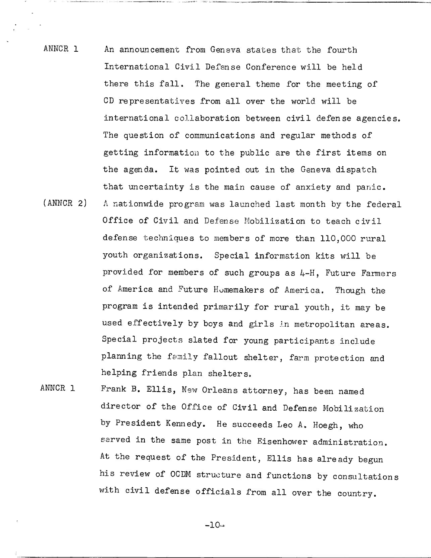- ANNCR 1 An announcement from Geneva states that the fourth International Civil Defense Conference will be held there this fall. The general theme for the meeting of CD representatives from all over the world will be international collaboration between civil defense agencies. The question of communications and regular methods of getting information to the public are the first items on the agenda. It was pointed out in the Geneva dispatch that uncertainty is the main cause of anxiety and panic. (ANNCR 2) A nationwide program was launched last month by the federal Office of Civil and Defense Mobilization to teach civil defense techniques to members of more than 110,000 rural youth organizations. Special information kits will be provided for members of such groups as 4-H, Future Farmers of America and Future Homemakers of America. Though the program is intended primarily for rural youth, it may be used effectively by boys and girls in metropolitan areas. Special projects slated for young participants include planning the family fallout shelter, farm protection and helping friends plan shelters.
- ANNCR 1 Frank B. Ellis, New Orleans attorney, has been named director of the Office of Civil and Defense Mobilization by President Kennedy. He succeeds Leo A. Hoegh, who served in the same post in the Eisenhower administration. At the request of the President, Ellis has already begun his review of OCDM structure and functions by consultations with civil defense officials from all over the country.

 $-10-$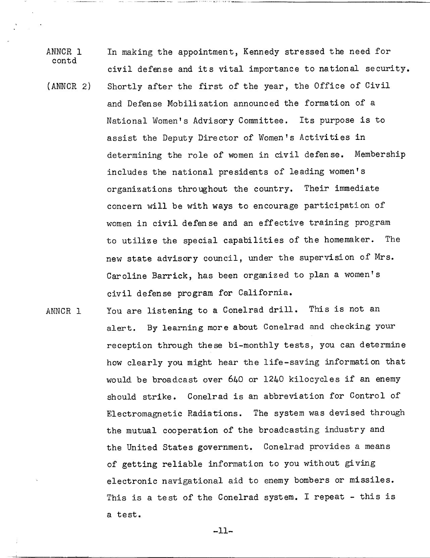- ANNCR 1 In making the appointment, Kennedy stressed the need for contd civil defense and its vital importance to national security. (ANNCR 2) Shortly after the first of the year, the Office of Civil and Defense Mobilization announced the formation of a National Women's Advisory Committee. Its purpose is to assist the Deputy Director of Women's Activities in determining the role of women in civil defense. Membership includes the national presidents of leading women's organizations throughout the country. Their immediate concern will be with ways to encourage participation of women in civil defense and an effective training program to utilize the special capabilities of the homemaker. The new state advisory council, under the supervision of Mrs.
	- Caroline Barrick, has been organized to plan a women's civil defense program for California.
- ANNCR 1 You are listening to a Conelrad drill. This is not an alert. By learning more about Conelrad and checking your reception through these bi-monthly tests, you can determine how clearly you might hear the life-saving information that would be broadcast over 640 or 1240 kilocycles if an enemy should strike. Conelrad is an abbreviation for Control of Electromagnetic Radiations. The system was devised through the mutual cooperation of the broadcasting industry and the United States government. Conelrad provides a means of getting reliable information to you without giving electronic navigational aid to enemy bombers or missiles. This is a test of the Conelrad system. I repeat - this is a test.

-11-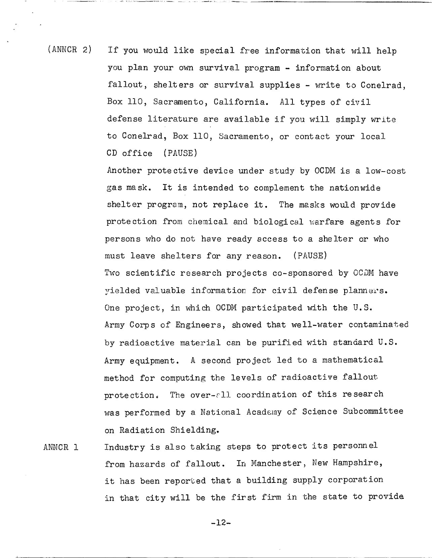(ANNCR 2) If you would like special free information that will help you plan your own survival program - information about fallout, shelters or survival supplies - write to Conelrad, Box 110, Sacramento, California. All types of civil defense literature are available if you will simply write to Conelrad, Box 110, Sacramento, or contact your local CD office (PAUSE)

> Another protective device under study by OCDM is a low-cost gas mask. It is intended to complement the nationwide shelter program, not replace it. The masks would provide protection from chemical and biological warfare agents for persons who do not have ready access to a shelter or who must leave shelters for any reason. (PAUSE) Two scientific research projects co-sponsored by OCDM have yielded valuable information for civil defense planners. One project, in which OCDM participated with the U.S. Army Corps of Engineers, showed that well-water contaminated by radioactive material can be purified with standard U.S. Army equipment. A second project led to a mathematical method for computing the levels of radioactive fallout protection. The over-all coordination of this research was performed by a National Academy of Science Subcommittee on Radiation Shielding.

ANNCR 1 Industry is also taking steps to protect its personnel from hazards of fallout. In Manchester, New Hampshire, it has been reported that a building supply corporation in that city will be the first firm in the state to provide

-12-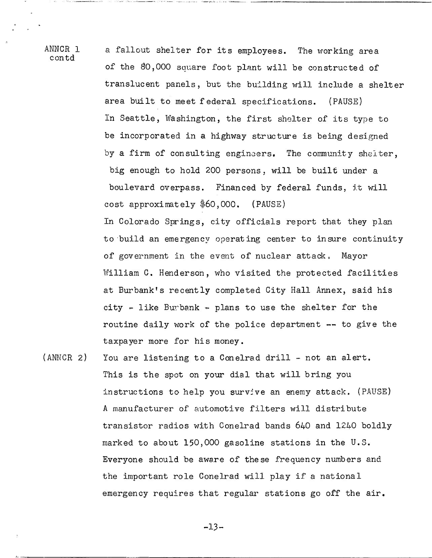ANNCR 1 contd

a fallout shelter for its employees. The working area of the 80,000 square foot plant will be constructed of translucent panels, but the building will include a shelter area built to meet federal specifications. (PAUSE) In Seattle, Washington, the first shelter of its type to be incorporated in a highway structure is being designed by a firm of consulting engineers. The community shelter, big enough to hold 200 persons, will be built under a boulevard overpass. Financed by federal funds, it will cost approximately \$60,000. (PAUSE)

In Colorado Springs, city officials report that they plan to build an emergency operating center to insure continuity of government in the event of nuclear attack. Mayor William C. Henderson, who visited the protected facilities at Burbank's recently completed City Hall Annex, said his city - like Burbank - plans to use the shelter for the routine daily work of the police department -- to give the taxpayer more for his money.

(ANNCR 2) You are listening to a Conelrad drill - not an alert. This is the spot on your dial that will bring you instructions to help you survive an enemy attack. (PAUSE) A manufacturer of automotive filters will distribute transistor radios with Conelrad bands 640 and 1240 boldly marked to about 150,000 gasoline stations in the U.S. Everyone should be aware of these frequency numbers and the important role Conelrad will play if a national emergency requires that regular stations go off the air.

-13-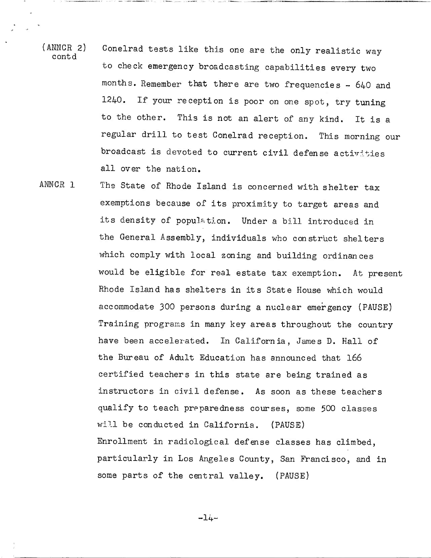- (ANNCR 2) Conelrad tests like this one are the only realistic way c ont d to check emergency broadcasting capabilities every two months. Remember that there are two frequencies - 640 and 1240. If your reception is poor on one spot, try tuning to the other. This is not an alert of any kind. It is <sup>a</sup> regular drill to test Conelrad reception. This morning our broadcast is devoted to current civil defense activities all over the nation.
- ANNCR 1 The State of Rhode Island is concerned with shelter tax exemptions because of its proximity to target areas and its density of population. Under a bill introduced in the General Assembly, individuals who construct shelters which comply with local zoning and building ordinances would be eligible for real estate tax exemption. At present Rhode Island has shelters in its State House which would accommodate 300 persons during a nuclear emergency (PAUSE) Training programs in many key areas throughout the country have been accelerated. In California, James D. Hall of the Bureau of Adult Education has announced that 166 certified teachers in this state are being trained as instructors in civil defense. As soon as these teachers qualify to teach preparedness courses, some 500 classes will be conducted in California. (PAUSE) Enrollment in radiological defense classes has climbed, particularly in Los Angeles County, San Francisco, and in some parts of the central valley. (PAUSE)

 $-14-$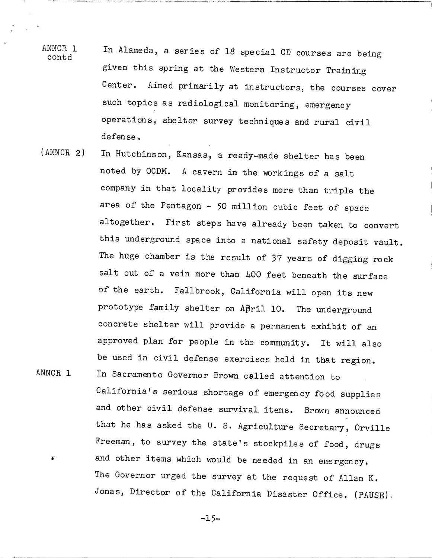- ANNCR 1 In Alameda, a series of 18 special CD courses are being contd given this spring at the Western Instructor Training Center. Aimed primarily at instructors, the courses cover such topics as radiological monitoring, emergency operations, shelter survey techniques and rural civil defense.
- ANNCR 1 (ANNCR 2) In Hutchinson, Kansas, a ready-made shelter has been noted by OCDM. A cavern in the workings of a salt company in that locality provides more than triple the area of the Pentagon - 50 million cubic feet of space altogether. First steps have already been taken to convert this underground space into a national safety deposit vault. The huge chamber is the result of 37 years of digging rock salt out of a vein more than 400 feet beneath the surface of the earth. Fallbrook, California will open its new prototype family shelter on April 10. The underground concrete shelter will provide a permanent exhibit of an approved plan for people in the community. It will also be used in civil defense exercises held in that region. In Sacramento Governor Brown celled attention to
- California's serious shortage of emergency food supplies and other civil defense survival items. Brown announced that he has asked the U. S. Agriculture Secretary, Orville Freeman, to survey the state's stockpiles of food, drugs and other items which would be needed in an emergency. The Governor urged the survey at the request of Allan K. Jonas, Director of the California Disaster Office. (PAUSE).

-15-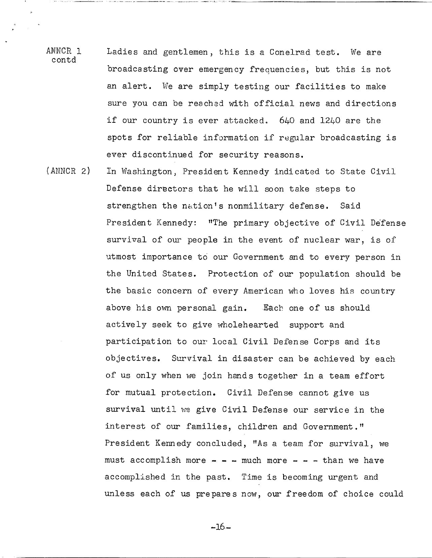- ANNCR 1 Ladies and gentlemen, this is a Conelrad test. We are contd broadcasting over emergency frequencies, but this is not an alert. We are simply testing our facilities to make sure you can be reached with official news and directions if our country is ever attacked. 640 and 1240 are the spots for reliable information if regular broadcasting is ever discontinued for security reasons.
- (ANNCR 2) In Washington, President Kennedy indicated to State Civil Defense directors that he will soon take steps to strengthen the nation's nonmilitary defense. Said President Kennedy: "The primary objective of Civil Defense survival of our people in the event of nuclear war, is of utmost importance to our Government and to every person in the United States. Protection of our population should be the basic concern of every American who loves his country above his own personal gain. Each one of us should actively seek to give wholehearted support and participation to our local Civil Defense Corps and its objectives. Survival in disaster can be achieved by each of us only when we join hands together in a team effort for mutual protection. Civil Defense cannot give us survival until We give Civil Defense our service in the interest of our families, children and Government." President Kennedy concluded, "As a team for survival, we must accomplish more  $-$  -  $-$  much more  $-$  -  $-$  than we have accomplished in the past. Time is becoming urgent and unless each of us prepares now, our freedom of choice could

 $-16$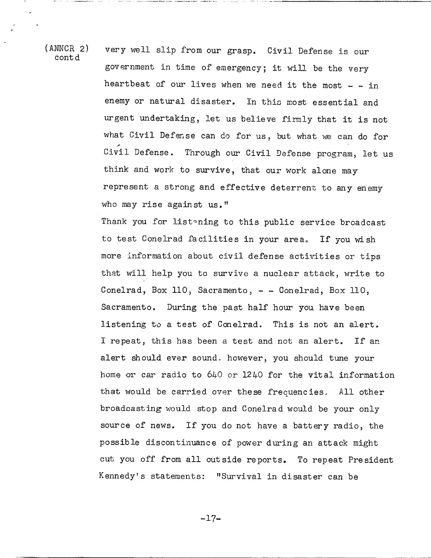contd

(ANNCR 2) very well slip from our grasp. Civil Defense is our government in time of emergency; it will be the very heartbeat of our lives when we need it the most  $-$  - in enemy or natural disaster. In this most essential and urgent undertaking, let us believe firmly that it is not what Civil Defense can do for us, but what we can do for Civil Defense. Through our Civil Defense program, let us think and work to survive, that our work alone may represent a strong and effective deterrent to any enemy who may rise against us."

> Thank you for listening to this public service broadcast to test Conelrad facilities in your area. If you wish more information about civil defense activities or tips that will help you to survive a nuclear attack, write to Conelrad, Box 110, Sacramento, - - Conelrad, Box 110, Sacramento. During the past half hour you have been listening to a test of Conelrad. This is not an alert. I repeat, this has been a test and not an alert. If an alert should ever sound. however, you should tune your home or car radio to 640 or 1240 for the vital information that would be carried over these frequencies, All other broadcasting would stop and Conelrad would be your only source of news. If you do not have a battery radio, the possible discontinuance of power during an attack might cut you off from all outside reports. To repeat President Kennedy's statements: "Survival in disaster can be

> > $-17-$